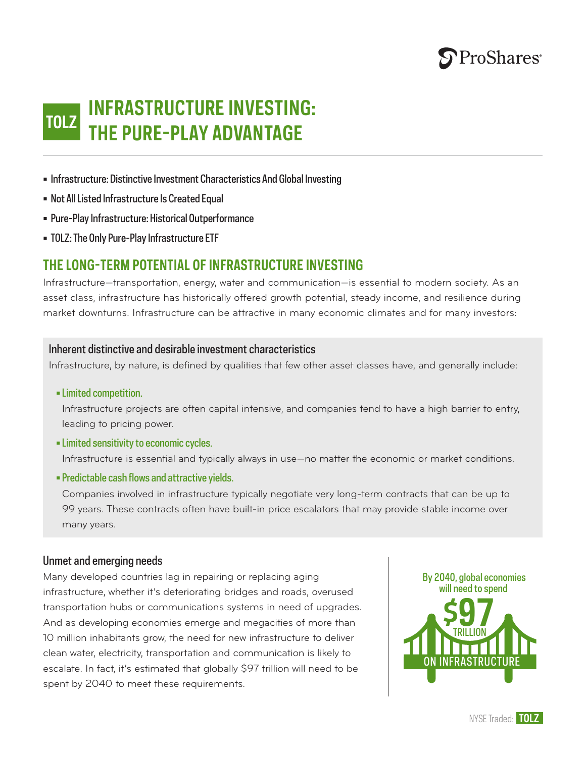

## **INFRASTRUCTURE INVESTING: THE PURE-PLAY ADVANTAGE TOLZ**

• Infrastructure: Distinctive Investment Characteristics And Global Investing

- Not All Listed Infrastructure Is Created Equal
- Pure-Play Infrastructure: Historical Outperformance
- TOLZ: The Only Pure-Play Infrastructure ETF

## **THE LONG-TERM POTENTIAL OF INFRASTRUCTURE INVESTING**

Infrastructure—transportation, energy, water and communication—is essential to modern society. As an asset class, infrastructure has historically offered growth potential, steady income, and resilience during market downturns. Infrastructure can be attractive in many economic climates and for many investors:

### Inherent distinctive and desirable investment characteristics

Infrastructure, by nature, is defined by qualities that few other asset classes have, and generally include:

• Limited competition.

Infrastructure projects are often capital intensive, and companies tend to have a high barrier to entry, leading to pricing power.

• Limited sensitivity to economic cycles.

Infrastructure is essential and typically always in use—no matter the economic or market conditions.

• Predictable cash flows and attractive yields.

Companies involved in infrastructure typically negotiate very long-term contracts that can be up to 99 years. These contracts often have built-in price escalators that may provide stable income over many years.

#### Unmet and emerging needs

Many developed countries lag in repairing or replacing aging infrastructure, whether it's deteriorating bridges and roads, overused transportation hubs or communications systems in need of upgrades. And as developing economies emerge and megacities of more than 10 million inhabitants grow, the need for new infrastructure to deliver clean water, electricity, transportation and communication is likely to escalate. In fact, it's estimated that globally \$97 trillion will need to be spent by 2040 to meet these requirements.

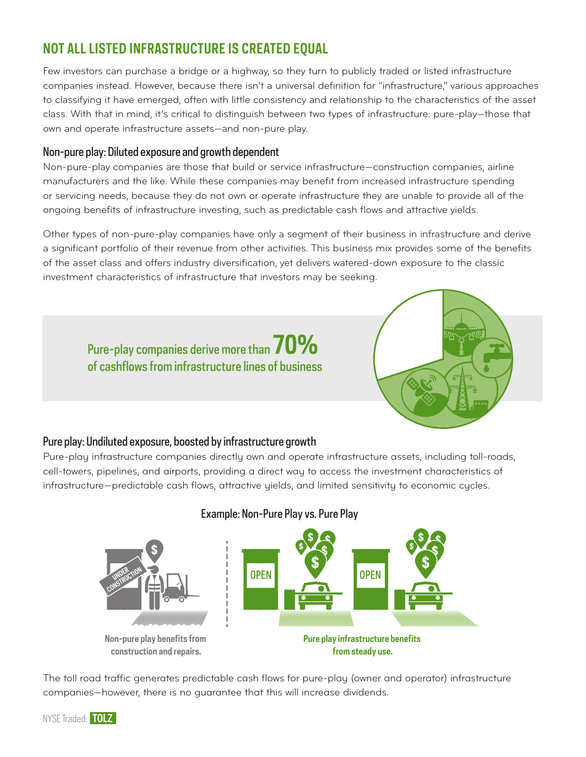# **NOT ALL LISTED INFRASTRUCTURE IS CREATED EQUAL**

Few investors can purchase a bridge or a highway, so they turn to publicly traded or listed infrastructure companies instead. However, because there isn't a universal definition for "infrastructure," various approaches to classifying it have emerged, often with little consistency and relationship to the characteristics of the asset class. With that in mind, it's critical to distinguish between two types of infrastructure: pure-play—those that own and operate infrastructure assets—and non-pure play.

### Non-pure play: Diluted exposure and growth dependent

Non-pure-play companies are those that build or service infrastructure—construction companies, airline manufacturers and the like. While these companies may benefit from increased infrastructure spending or servicing needs, because they do not own or operate infrastructure they are unable to provide all of the ongoing benefits of infrastructure investing, such as predictable cash flows and attractive yields.

Other types of non-pure-play companies have only a segment of their business in infrastructure and derive a significant portfolio of their revenue from other activities. This business mix provides some of the benefits of the asset class and offers industry diversification, yet delivers watered-down exposure to the classic investment characteristics of infrastructure that investors may be seeking.

Pure-play companies derive more than **70%** of cashflows from infrastructure lines of business



### Pure play: Undiluted exposure, boosted by infrastructure growth

Pure-play infrastructure companies directly own and operate infrastructure assets, including toll-roads, cell-towers, pipelines, and airports, providing a direct way to access the investment characteristics of infrastructure—predictable cash flows, attractive yields, and limited sensitivity to economic cycles.



#### Example: Non-Pure Play vs. Pure Play

The toll road traffic generates predictable cash flows for pure-play (owner and operator) infrastructure companies—however, there is no guarantee that this will increase dividends.

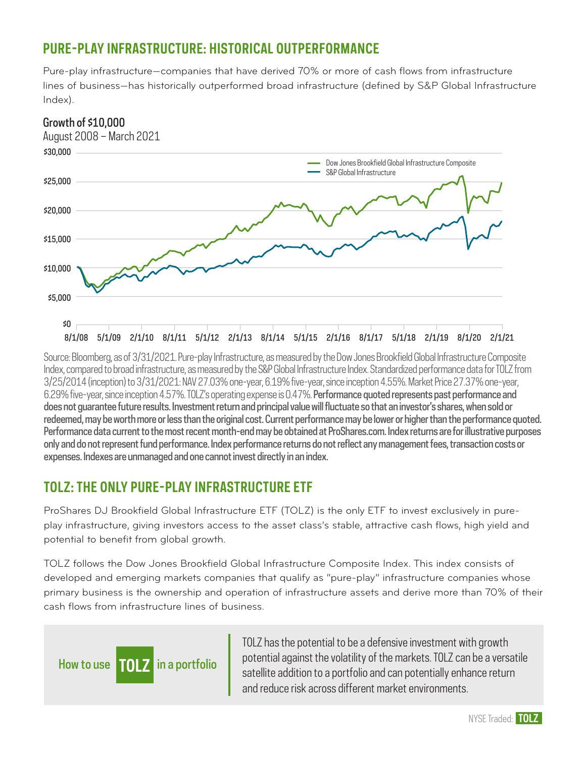# **PURE-PLAY INFRASTRUCTURE: HISTORICAL OUTPERFORMANCE**

Pure-play infrastructure—companies that have derived 70% or more of cash flows from infrastructure lines of business—has historically outperformed broad infrastructure (defined by S&P Global Infrastructure Index).



Source: Bloomberg, as of 3/31/2021. Pure-play Infrastructure, as measured by the Dow Jones Brookfield Global Infrastructure Composite Index, compared to broad infrastructure, as measured by the S&P Global Infrastructure Index. Standardized performance data for TOLZ from 3/25/2014 (inception) to 3/31/2021: NAV 27.03% one-year, 6.19% five-year, since inception 4.55%. Market Price 27.37% one-year, 6.29% five-year, since inception 4.57%. TOLZ's operating expense is 0.47%. Performance quoted represents past performance and does not guarantee future results. Investment return and principal value will fluctuate so that an investor's shares, when sold or redeemed, may be worth more or less than the original cost. Current performance may be lower or higher than the performance quoted. Performance data current to the most recent month-end may be obtained at ProShares.com. Index returns are for illustrative purposes only and do not represent fund performance. Index performance returns do not reflect any management fees, transaction costs or expenses. Indexes are unmanaged and one cannot invest directly in an index.

# **TOLZ: THE ONLY PURE-PLAY INFRASTRUCTURE ETF**

ProShares DJ Brookfield Global Infrastructure ETF (TOLZ) is the only ETF to invest exclusively in pureplay infrastructure, giving investors access to the asset class's stable, attractive cash flows, high yield and potential to benefit from global growth.

TOLZ follows the Dow Jones Brookfield Global Infrastructure Composite Index. This index consists of developed and emerging markets companies that qualify as "pure-play" infrastructure companies whose primary business is the ownership and operation of infrastructure assets and derive more than 70% of their cash flows from infrastructure lines of business.



TOLZ has the potential to be a defensive investment with growth potential against the volatility of the markets. TOLZ can be a versatile satellite addition to a portfolio and can potentially enhance return and reduce risk across different market environments.